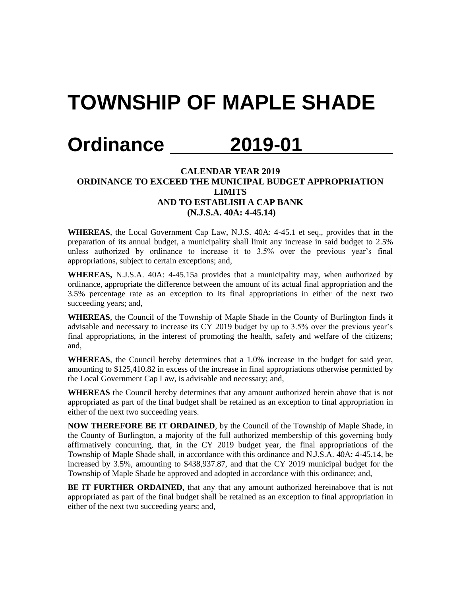## **TOWNSHIP OF MAPLE SHADE**

## **Ordinance 2019-01**

## **CALENDAR YEAR 2019 ORDINANCE TO EXCEED THE MUNICIPAL BUDGET APPROPRIATION LIMITS AND TO ESTABLISH A CAP BANK (N.J.S.A. 40A: 4-45.14)**

**WHEREAS**, the Local Government Cap Law, N.J.S. 40A: 4-45.1 et seq., provides that in the preparation of its annual budget, a municipality shall limit any increase in said budget to 2.5% unless authorized by ordinance to increase it to 3.5% over the previous year's final appropriations, subject to certain exceptions; and,

**WHEREAS,** N.J.S.A. 40A: 4-45.15a provides that a municipality may, when authorized by ordinance, appropriate the difference between the amount of its actual final appropriation and the 3.5% percentage rate as an exception to its final appropriations in either of the next two succeeding years; and,

**WHEREAS**, the Council of the Township of Maple Shade in the County of Burlington finds it advisable and necessary to increase its CY 2019 budget by up to 3.5% over the previous year's final appropriations, in the interest of promoting the health, safety and welfare of the citizens; and,

**WHEREAS**, the Council hereby determines that a 1.0% increase in the budget for said year, amounting to \$125,410.82 in excess of the increase in final appropriations otherwise permitted by the Local Government Cap Law, is advisable and necessary; and,

**WHEREAS** the Council hereby determines that any amount authorized herein above that is not appropriated as part of the final budget shall be retained as an exception to final appropriation in either of the next two succeeding years.

**NOW THEREFORE BE IT ORDAINED**, by the Council of the Township of Maple Shade, in the County of Burlington, a majority of the full authorized membership of this governing body affirmatively concurring, that, in the CY 2019 budget year, the final appropriations of the Township of Maple Shade shall, in accordance with this ordinance and N.J.S.A. 40A: 4-45.14, be increased by 3.5%, amounting to \$438,937.87, and that the CY 2019 municipal budget for the Township of Maple Shade be approved and adopted in accordance with this ordinance; and,

**BE IT FURTHER ORDAINED,** that any that any amount authorized hereinabove that is not appropriated as part of the final budget shall be retained as an exception to final appropriation in either of the next two succeeding years; and,